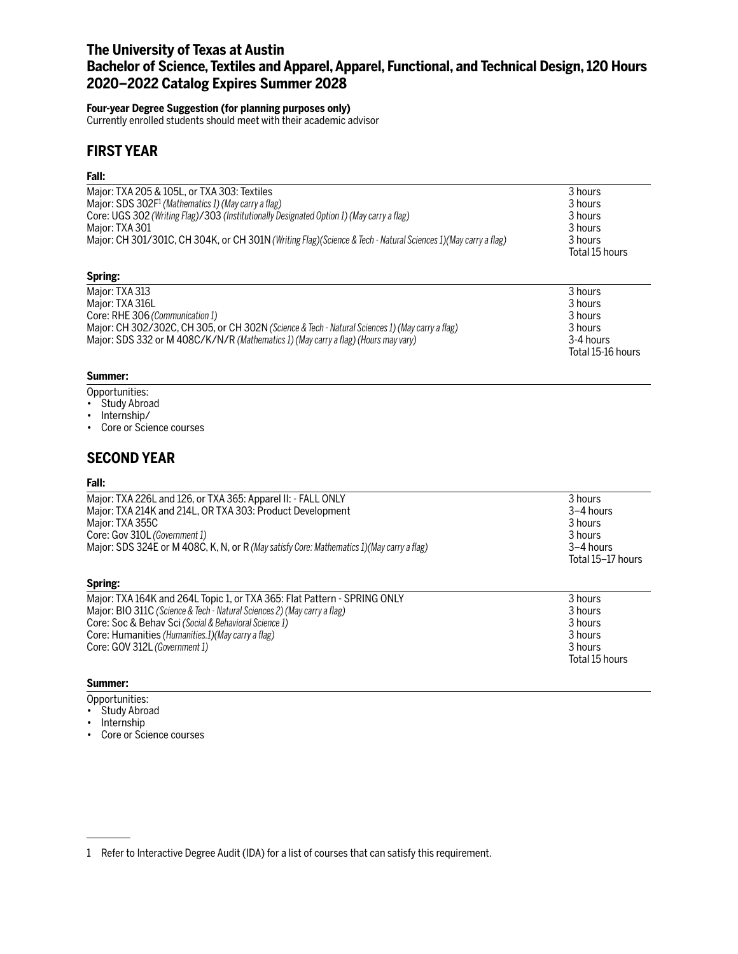## **The University of Texas at Austin Bachelor of Science, Textiles and Apparel, Apparel, Functional, and Technical Design, 120 Hours 2020–2022 Catalog Expires Summer 2028**

#### **Four-year Degree Suggestion (for planning purposes only)**

Currently enrolled students should meet with their academic advisor

## **FIRST YEAR**

#### **Fall:**

| Major: TXA 205 & 105L, or TXA 303: Textiles                                                                     | 3 hours        |
|-----------------------------------------------------------------------------------------------------------------|----------------|
| Major: SDS 302F <sup>1</sup> (Mathematics 1) (May carry a flag)                                                 | 3 hours        |
| Core: UGS 302 (Writing Flag)/303 (Institutionally Designated Option 1) (May carry a flag)                       | 3 hours        |
| Major: TXA 301                                                                                                  | 3 hours        |
| Major: CH 301/301C, CH 304K, or CH 301N (Writing Flag) (Science & Tech - Natural Sciences 1) (May carry a flag) | 3 hours        |
|                                                                                                                 | Total 15 hours |
| Spring:                                                                                                         |                |
| Major: TXA 313                                                                                                  | 3 hours        |
| Major: TXA 316L                                                                                                 | 3 hours        |
| Core: RHE 306 (Communication 1)                                                                                 | 3 hours        |
| Major: CH 302/302C, CH 305, or CH 302N (Science & Tech - Natural Sciences 1) (May carry a flag)                 | 3 hours        |
| Major: SDS 332 or M 408C/K/N/R (Mathematics 1) (May carry a flag) (Hours may vary)                              | 3-4 hours      |

Total 15-16 hours

#### **Summer:**

- Opportunities:
- Study Abroad
- Internship/
- Core or Science courses

## **SECOND YEAR**

#### **Fall:**

| Major: TXA 226L and 126, or TXA 365: Apparel II: - FALL ONLY<br>Major: TXA 214K and 214L, OR TXA 303: Product Development<br>Major: TXA 355C<br>Core: Gov 310L (Government 1)<br>Major: SDS 324E or M 408C, K, N, or R (May satisfy Core: Mathematics 1) (May carry a flag)                          | 3 hours<br>$3-4$ hours<br>3 hours<br>3 hours<br>$3-4$ hours<br>Total 15-17 hours |
|------------------------------------------------------------------------------------------------------------------------------------------------------------------------------------------------------------------------------------------------------------------------------------------------------|----------------------------------------------------------------------------------|
| Spring:                                                                                                                                                                                                                                                                                              |                                                                                  |
| Major: TXA 164K and 264L Topic 1, or TXA 365: Flat Pattern - SPRING ONLY<br>Major: BIO 311C (Science & Tech - Natural Sciences 2) (May carry a flag)<br>Core: Soc & Behav Sci (Social & Behavioral Science 1)<br>Core: Humanities (Humanities.1) (May carry a flag)<br>Core: GOV 312L (Government 1) | 3 hours<br>3 hours<br>3 hours<br>3 hours<br>3 hours                              |
|                                                                                                                                                                                                                                                                                                      | Total 15 hours                                                                   |

#### **Summer:**

- Opportunities:
- Study Abroad
- Internship
- Core or Science courses

<sup>1</sup> Refer to Interactive Degree Audit (IDA) for a list of courses that can satisfy this requirement.